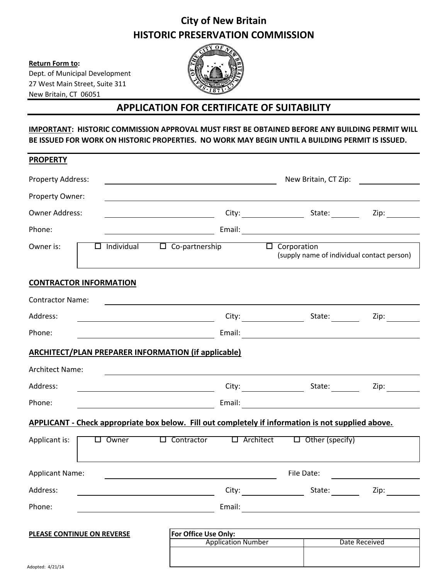## **City of New Britain HISTORIC PRESERVATION COMMISSION**

**Return Form to:** 

Dept. of Municipal Development 27 West Main Street, Suite 311 New Britain, CT 06051



## **APPLICATION FOR CERTIFICATE OF SUITABILITY**

**IMPORTANT: HISTORIC COMMISSION APPROVAL MUST FIRST BE OBTAINED BEFORE ANY BUILDING PERMIT WILL BE ISSUED FOR WORK ON HISTORIC PROPERTIES. NO WORK MAY BEGIN UNTIL A BUILDING PERMIT IS ISSUED.**

| <b>PROPERTY</b>                                                                                    |  |                 |  |                                                                                              |                                                                                                                                                                                                                               |  |                                                                  |                 |  |                             |  |
|----------------------------------------------------------------------------------------------------|--|-----------------|--|----------------------------------------------------------------------------------------------|-------------------------------------------------------------------------------------------------------------------------------------------------------------------------------------------------------------------------------|--|------------------------------------------------------------------|-----------------|--|-----------------------------|--|
| Property Address:                                                                                  |  |                 |  | New Britain, CT Zip: <u>_______________</u><br><u> 2008 - Andrea Andrew Maria (h. 1878).</u> |                                                                                                                                                                                                                               |  |                                                                  |                 |  |                             |  |
| Property Owner:                                                                                    |  |                 |  |                                                                                              |                                                                                                                                                                                                                               |  |                                                                  |                 |  |                             |  |
| <b>Owner Address:</b>                                                                              |  |                 |  |                                                                                              |                                                                                                                                                                                                                               |  |                                                                  |                 |  |                             |  |
| Phone:                                                                                             |  |                 |  |                                                                                              |                                                                                                                                                                                                                               |  |                                                                  |                 |  |                             |  |
| Owner is:                                                                                          |  |                 |  | $\Box$ Individual $\Box$ Co-partnership                                                      |                                                                                                                                                                                                                               |  | $\Box$ Corporation<br>(supply name of individual contact person) |                 |  |                             |  |
| <b>CONTRACTOR INFORMATION</b>                                                                      |  |                 |  |                                                                                              |                                                                                                                                                                                                                               |  |                                                                  |                 |  |                             |  |
| <b>Contractor Name:</b>                                                                            |  |                 |  |                                                                                              | and the control of the control of the control of the control of the control of the control of the control of the                                                                                                              |  |                                                                  |                 |  |                             |  |
| Address:                                                                                           |  |                 |  |                                                                                              |                                                                                                                                                                                                                               |  |                                                                  |                 |  |                             |  |
| Phone:                                                                                             |  |                 |  |                                                                                              |                                                                                                                                                                                                                               |  |                                                                  |                 |  |                             |  |
| <b>ARCHITECT/PLAN PREPARER INFORMATION (if applicable)</b>                                         |  |                 |  |                                                                                              |                                                                                                                                                                                                                               |  |                                                                  |                 |  |                             |  |
| <b>Architect Name:</b>                                                                             |  |                 |  |                                                                                              | the control of the control of the control of the control of the control of the control of the control of the control of the control of the control of the control of the control of the control of the control of the control |  |                                                                  |                 |  |                             |  |
| Address:                                                                                           |  |                 |  |                                                                                              |                                                                                                                                                                                                                               |  |                                                                  |                 |  | Zip: $\qquad \qquad \qquad$ |  |
| Phone:                                                                                             |  |                 |  |                                                                                              |                                                                                                                                                                                                                               |  |                                                                  |                 |  |                             |  |
| APPLICANT - Check appropriate box below. Fill out completely if information is not supplied above. |  |                 |  |                                                                                              |                                                                                                                                                                                                                               |  |                                                                  |                 |  |                             |  |
| Applicant is:                                                                                      |  | $\square$ Owner |  |                                                                                              | $\Box$ Contractor $\Box$ Architect $\Box$ Other (specify)                                                                                                                                                                     |  |                                                                  |                 |  |                             |  |
| <b>Applicant Name:</b>                                                                             |  |                 |  |                                                                                              | File Date:                                                                                                                                                                                                                    |  |                                                                  |                 |  |                             |  |
| Address:                                                                                           |  |                 |  |                                                                                              | City:                                                                                                                                                                                                                         |  |                                                                  | State: ________ |  | Zip:                        |  |
| Phone:                                                                                             |  |                 |  |                                                                                              |                                                                                                                                                                                                                               |  |                                                                  |                 |  |                             |  |
| <b>PLEASE CONTINUE ON REVERSE</b>                                                                  |  |                 |  | For Office Use Only:                                                                         |                                                                                                                                                                                                                               |  |                                                                  |                 |  |                             |  |
|                                                                                                    |  |                 |  | <b>Application Number</b>                                                                    |                                                                                                                                                                                                                               |  |                                                                  | Date Received   |  |                             |  |
|                                                                                                    |  |                 |  |                                                                                              |                                                                                                                                                                                                                               |  |                                                                  |                 |  |                             |  |